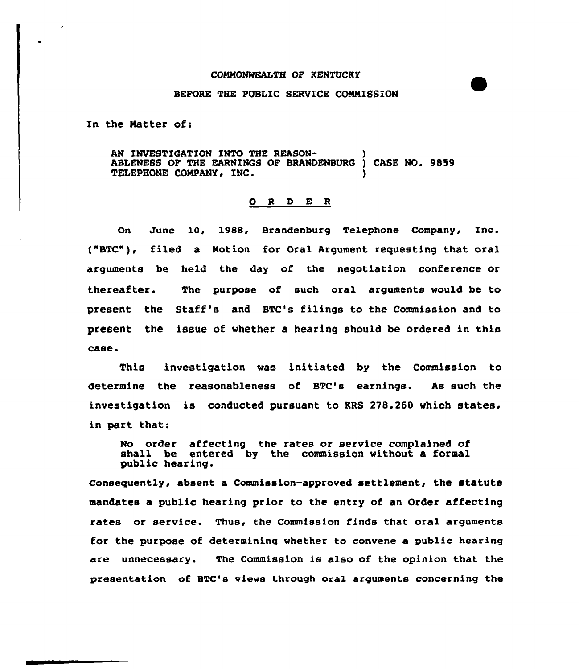## COMMONWEALTH OF KENTUCKY

## BEFORE THE PUBLIC SERVICE CONNISSION

In the Natter of:

AN INVESTIGATION INTO THE REASON-ABLENESS OF THE EARNINGS OF BRANDENBURG ) CASE NO. 9859 TELEPHONE CONPANY, INC. )

## O R D E R

On June 10, 19&&, Brandenburg Telephone Company, Inc. ("BTC"), filed a Notion for Oral Argument requesting that oral arguments be held the day of the negotiation conference or thereafter. The purpose of such oral arguments would be to present the Staff's and STC's filings to the Commission and to yresent the issue of whether a hearing should be ordered in this case.

This investigation was initiated by the Commission to determine the reasonableness of BTC's earnings. As such the investigation is conducted pursuant to KRS 278.260 which states, in part that:

No order affecting the rates or service complained of shall be entered by the commission without a formal public hearing.

Consequently, absent a Commission-approved settlement, the statute mandates a public hearing prior to the entry of an Order affecting rates or service. Thus, the Commission finds that oral arguments for the purpose of determining whether to convene a public hearing are unnecessary. The Commission is also of the opinion that the presentation of BTC's views through oral arguments concerning the